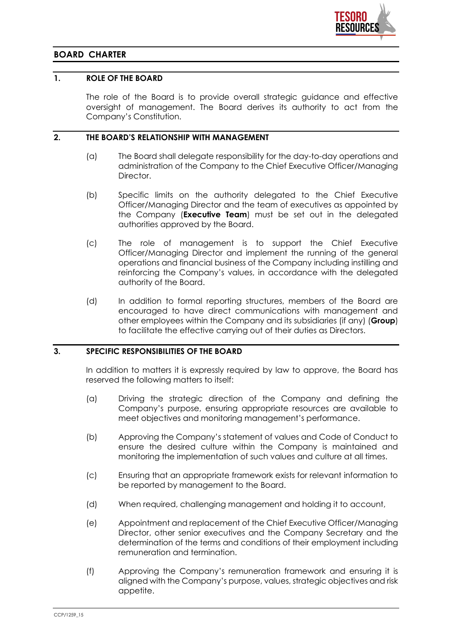

# **BOARD CHARTER**

#### **1. ROLE OF THE BOARD**

The role of the Board is to provide overall strategic guidance and effective oversight of management. The Board derives its authority to act from the Company's Constitution.

## **2. THE BOARD'S RELATIONSHIP WITH MANAGEMENT**

- (a) The Board shall delegate responsibility for the day-to-day operations and administration of the Company to the Chief Executive Officer/Managing Director.
- (b) Specific limits on the authority delegated to the Chief Executive Officer/Managing Director and the team of executives as appointed by the Company (**Executive Team**) must be set out in the delegated authorities approved by the Board.
- (c) The role of management is to support the Chief Executive Officer/Managing Director and implement the running of the general operations and financial business of the Company including instilling and reinforcing the Company's values, in accordance with the delegated authority of the Board.
- (d) In addition to formal reporting structures, members of the Board are encouraged to have direct communications with management and other employees within the Company and its subsidiaries (if any) (**Group**) to facilitate the effective carrying out of their duties as Directors.

### **3. SPECIFIC RESPONSIBILITIES OF THE BOARD**

In addition to matters it is expressly required by law to approve, the Board has reserved the following matters to itself:

- (a) Driving the strategic direction of the Company and defining the Company's purpose, ensuring appropriate resources are available to meet objectives and monitoring management's performance.
- (b) Approving the Company's statement of values and Code of Conduct to ensure the desired culture within the Company is maintained and monitoring the implementation of such values and culture at all times.
- (c) Ensuring that an appropriate framework exists for relevant information to be reported by management to the Board.
- (d) When required, challenging management and holding it to account,
- (e) Appointment and replacement of the Chief Executive Officer/Managing Director, other senior executives and the Company Secretary and the determination of the terms and conditions of their employment including remuneration and termination.
- (f) Approving the Company's remuneration framework and ensuring it is aligned with the Company's purpose, values, strategic objectives and risk appetite.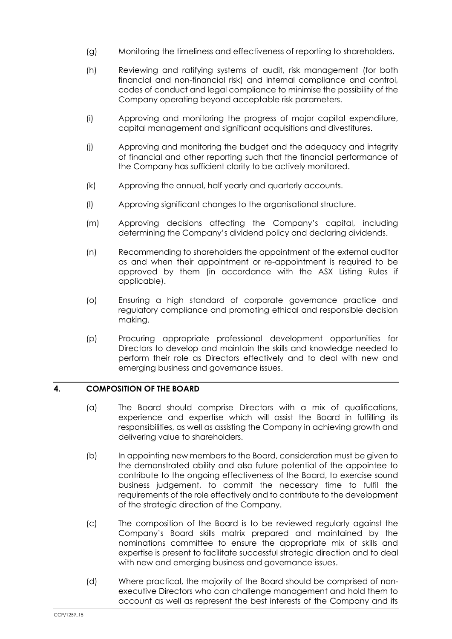- (g) Monitoring the timeliness and effectiveness of reporting to shareholders.
- (h) Reviewing and ratifying systems of audit, risk management (for both financial and non-financial risk) and internal compliance and control, codes of conduct and legal compliance to minimise the possibility of the Company operating beyond acceptable risk parameters.
- (i) Approving and monitoring the progress of major capital expenditure, capital management and significant acquisitions and divestitures.
- (j) Approving and monitoring the budget and the adequacy and integrity of financial and other reporting such that the financial performance of the Company has sufficient clarity to be actively monitored.
- (k) Approving the annual, half yearly and quarterly accounts.
- (l) Approving significant changes to the organisational structure.
- (m) Approving decisions affecting the Company's capital, including determining the Company's dividend policy and declaring dividends.
- (n) Recommending to shareholders the appointment of the external auditor as and when their appointment or re-appointment is required to be approved by them (in accordance with the ASX Listing Rules if applicable).
- (o) Ensuring a high standard of corporate governance practice and regulatory compliance and promoting ethical and responsible decision making.
- (p) Procuring appropriate professional development opportunities for Directors to develop and maintain the skills and knowledge needed to perform their role as Directors effectively and to deal with new and emerging business and governance issues.

#### **4. COMPOSITION OF THE BOARD**

- (a) The Board should comprise Directors with a mix of qualifications, experience and expertise which will assist the Board in fulfilling its responsibilities, as well as assisting the Company in achieving growth and delivering value to shareholders.
- (b) In appointing new members to the Board, consideration must be given to the demonstrated ability and also future potential of the appointee to contribute to the ongoing effectiveness of the Board, to exercise sound business judgement, to commit the necessary time to fulfil the requirements of the role effectively and to contribute to the development of the strategic direction of the Company.
- (c) The composition of the Board is to be reviewed regularly against the Company's Board skills matrix prepared and maintained by the nominations committee to ensure the appropriate mix of skills and expertise is present to facilitate successful strategic direction and to deal with new and emerging business and governance issues.
- (d) Where practical, the majority of the Board should be comprised of nonexecutive Directors who can challenge management and hold them to account as well as represent the best interests of the Company and its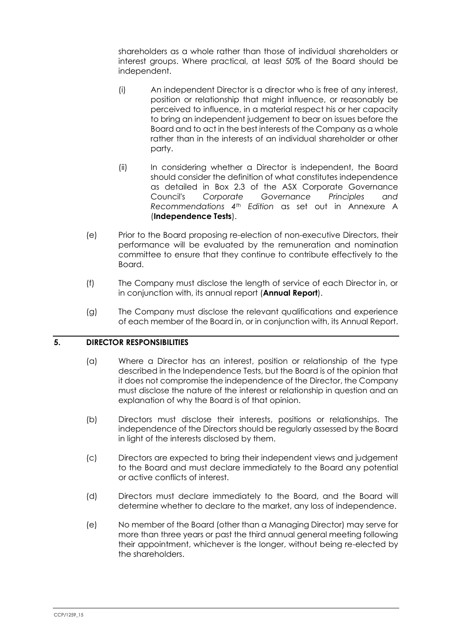shareholders as a whole rather than those of individual shareholders or interest groups. Where practical, at least 50% of the Board should be independent.

- (i) An independent Director is a director who is free of any interest, position or relationship that might influence, or reasonably be perceived to influence, in a material respect his or her capacity to bring an independent judgement to bear on issues before the Board and to act in the best interests of the Company as a whole rather than in the interests of an individual shareholder or other party.
- (ii) In considering whether a Director is independent, the Board should consider the definition of what constitutes independence as detailed in Box 2.3 of the ASX Corporate Governance Council's *Corporate Governance Principles and Recommendations 4th Edition* as set out in Annexure A (**Independence Tests**).
- (e) Prior to the Board proposing re-election of non-executive Directors, their performance will be evaluated by the remuneration and nomination committee to ensure that they continue to contribute effectively to the Board.
- (f) The Company must disclose the length of service of each Director in, or in conjunction with, its annual report (**Annual Report**).
- (g) The Company must disclose the relevant qualifications and experience of each member of the Board in, or in conjunction with, its Annual Report.

#### **5. DIRECTOR RESPONSIBILITIES**

- (a) Where a Director has an interest, position or relationship of the type described in the Independence Tests, but the Board is of the opinion that it does not compromise the independence of the Director, the Company must disclose the nature of the interest or relationship in question and an explanation of why the Board is of that opinion.
- (b) Directors must disclose their interests, positions or relationships. The independence of the Directors should be regularly assessed by the Board in light of the interests disclosed by them.
- (c) Directors are expected to bring their independent views and judgement to the Board and must declare immediately to the Board any potential or active conflicts of interest.
- (d) Directors must declare immediately to the Board, and the Board will determine whether to declare to the market, any loss of independence.
- (e) No member of the Board (other than a Managing Director) may serve for more than three years or past the third annual general meeting following their appointment, whichever is the longer, without being re-elected by the shareholders.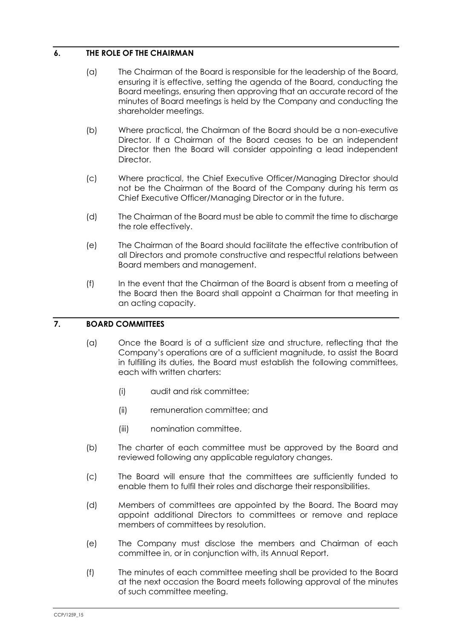## **6. THE ROLE OF THE CHAIRMAN**

- (a) The Chairman of the Board is responsible for the leadership of the Board, ensuring it is effective, setting the agenda of the Board, conducting the Board meetings, ensuring then approving that an accurate record of the minutes of Board meetings is held by the Company and conducting the shareholder meetings.
- (b) Where practical, the Chairman of the Board should be a non-executive Director. If a Chairman of the Board ceases to be an independent Director then the Board will consider appointing a lead independent Director.
- (c) Where practical, the Chief Executive Officer/Managing Director should not be the Chairman of the Board of the Company during his term as Chief Executive Officer/Managing Director or in the future.
- (d) The Chairman of the Board must be able to commit the time to discharge the role effectively.
- (e) The Chairman of the Board should facilitate the effective contribution of all Directors and promote constructive and respectful relations between Board members and management.
- (f) In the event that the Chairman of the Board is absent from a meeting of the Board then the Board shall appoint a Chairman for that meeting in an acting capacity.

## **7. BOARD COMMITTEES**

- (a) Once the Board is of a sufficient size and structure, reflecting that the Company's operations are of a sufficient magnitude, to assist the Board in fulfilling its duties, the Board must establish the following committees, each with written charters:
	- (i) audit and risk committee;
	- (ii) remuneration committee; and
	- (iii) nomination committee.
- (b) The charter of each committee must be approved by the Board and reviewed following any applicable regulatory changes.
- (c) The Board will ensure that the committees are sufficiently funded to enable them to fulfil their roles and discharge their responsibilities.
- (d) Members of committees are appointed by the Board. The Board may appoint additional Directors to committees or remove and replace members of committees by resolution.
- (e) The Company must disclose the members and Chairman of each committee in, or in conjunction with, its Annual Report.
- (f) The minutes of each committee meeting shall be provided to the Board at the next occasion the Board meets following approval of the minutes of such committee meeting.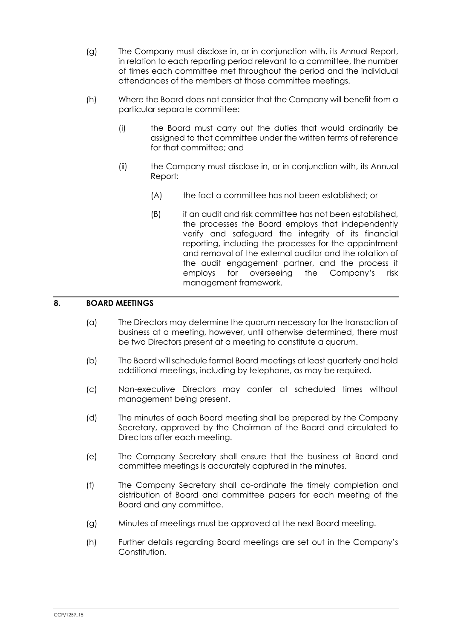- (g) The Company must disclose in, or in conjunction with, its Annual Report, in relation to each reporting period relevant to a committee, the number of times each committee met throughout the period and the individual attendances of the members at those committee meetings.
- (h) Where the Board does not consider that the Company will benefit from a particular separate committee:
	- (i) the Board must carry out the duties that would ordinarily be assigned to that committee under the written terms of reference for that committee; and
	- (ii) the Company must disclose in, or in conjunction with, its Annual Report:
		- (A) the fact a committee has not been established; or
		- (B) if an audit and risk committee has not been established, the processes the Board employs that independently verify and safeguard the integrity of its financial reporting, including the processes for the appointment and removal of the external auditor and the rotation of the audit engagement partner, and the process it employs for overseeing the Company's risk management framework.

# **8. BOARD MEETINGS**

- (a) The Directors may determine the quorum necessary for the transaction of business at a meeting, however, until otherwise determined, there must be two Directors present at a meeting to constitute a quorum.
- (b) The Board will schedule formal Board meetings at least quarterly and hold additional meetings, including by telephone, as may be required.
- (c) Non-executive Directors may confer at scheduled times without management being present.
- (d) The minutes of each Board meeting shall be prepared by the Company Secretary, approved by the Chairman of the Board and circulated to Directors after each meeting.
- (e) The Company Secretary shall ensure that the business at Board and committee meetings is accurately captured in the minutes.
- (f) The Company Secretary shall co-ordinate the timely completion and distribution of Board and committee papers for each meeting of the Board and any committee.
- (g) Minutes of meetings must be approved at the next Board meeting.
- (h) Further details regarding Board meetings are set out in the Company's Constitution.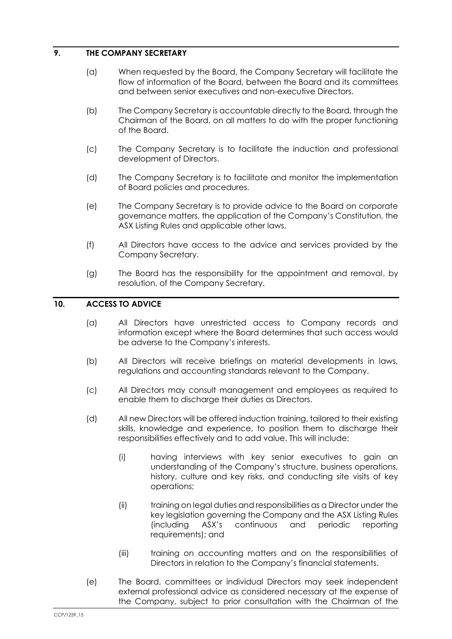## **9. THE COMPANY SECRETARY**

- (a) When requested by the Board, the Company Secretary will facilitate the flow of information of the Board, between the Board and its committees and between senior executives and non-executive Directors.
- (b) The Company Secretary is accountable directly to the Board, through the Chairman of the Board, on all matters to do with the proper functioning of the Board.
- (c) The Company Secretary is to facilitate the induction and professional development of Directors.
- (d) The Company Secretary is to facilitate and monitor the implementation of Board policies and procedures.
- (e) The Company Secretary is to provide advice to the Board on corporate governance matters, the application of the Company's Constitution, the ASX Listing Rules and applicable other laws.
- (f) All Directors have access to the advice and services provided by the Company Secretary.
- (g) The Board has the responsibility for the appointment and removal, by resolution, of the Company Secretary.

# **10. ACCESS TO ADVICE**

- (a) All Directors have unrestricted access to Company records and information except where the Board determines that such access would be adverse to the Company's interests.
- (b) All Directors will receive briefings on material developments in laws, regulations and accounting standards relevant to the Company.
- (c) All Directors may consult management and employees as required to enable them to discharge their duties as Directors.
- (d) All new Directors will be offered induction training, tailored to their existing skills, knowledge and experience, to position them to discharge their responsibilities effectively and to add value. This will include:
	- (i) having interviews with key senior executives to gain an understanding of the Company's structure, business operations, history, culture and key risks, and conducting site visits of key operations;
	- (ii) training on legal duties and responsibilities as a Director under the key legislation governing the Company and the ASX Listing Rules (including ASX's continuous and periodic reporting requirements); and
	- (iii) training on accounting matters and on the responsibilities of Directors in relation to the Company's financial statements.
- (e) The Board, committees or individual Directors may seek independent external professional advice as considered necessary at the expense of the Company, subject to prior consultation with the Chairman of the